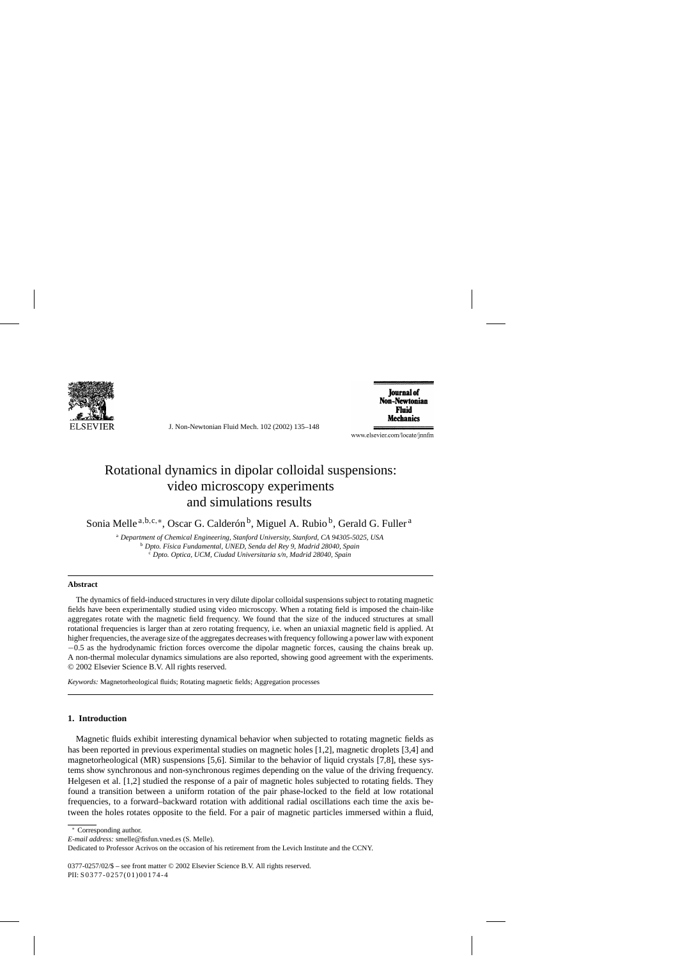

J. Non-Newtonian Fluid Mech. 102 (2002) 135–148

**Iournal of** Non-Newtonian Fluid **Mechanics** 

www.elsevier.com/locate/jnnfm

# Rotational dynamics in dipolar colloidal suspensions: video microscopy experiments and simulations results

Sonia Melle<sup>a, b, c, ∗</sup>, Oscar G. Calderón<sup>b</sup>, Miguel A. Rubio<sup>b</sup>, Gerald G. Fuller<sup>a</sup>

<sup>a</sup> *Department of Chemical Engineering, Stanford University, Stanford, CA 94305-5025, USA* <sup>b</sup> *Dpto. F´ısica Fundamental, UNED, Senda del Rey 9, Madrid 28040, Spain* <sup>c</sup> *Dpto. Optica, UCM, Ciudad Universitaria s/n, Madrid 28040, Spain*

## **Abstract**

The dynamics of field-induced structures in very dilute dipolar colloidal suspensions subject to rotating magnetic fields have been experimentally studied using video microscopy. When a rotating field is imposed the chain-like aggregates rotate with the magnetic field frequency. We found that the size of the induced structures at small rotational frequencies is larger than at zero rotating frequency, i.e. when an uniaxial magnetic field is applied. At higher frequencies, the average size of the aggregates decreases with frequency following a power law with exponent −0.5 as the hydrodynamic friction forces overcome the dipolar magnetic forces, causing the chains break up. A non-thermal molecular dynamics simulations are also reported, showing good agreement with the experiments. © 2002 Elsevier Science B.V. All rights reserved.

*Keywords:* Magnetorheological fluids; Rotating magnetic fields; Aggregation processes

# **1. Introduction**

Magnetic fluids exhibit interesting dynamical behavior when subjected to rotating magnetic fields as has been reported in previous experimental studies on magnetic holes [1,2], magnetic droplets [3,4] and magnetorheological (MR) suspensions [5,6]. Similar to the behavior of liquid crystals [7,8], these systems show synchronous and non-synchronous regimes depending on the value of the driving frequency. Helgesen et al. [1,2] studied the response of a pair of magnetic holes subjected to rotating fields. They found a transition between a uniform rotation of the pair phase-locked to the field at low rotational frequencies, to a forward–backward rotation with additional radial oscillations each time the axis between the holes rotates opposite to the field. For a pair of magnetic particles immersed within a fluid,

*E-mail address:* smelle@fisfun.vned.es (S. Melle).

0377-0257/02/\$ – see front matter © 2002 Elsevier Science B.V. All rights reserved. PII: S0377-0257(01)00174-4

<sup>∗</sup> Corresponding author.

Dedicated to Professor Acrivos on the occasion of his retirement from the Levich Institute and the CCNY.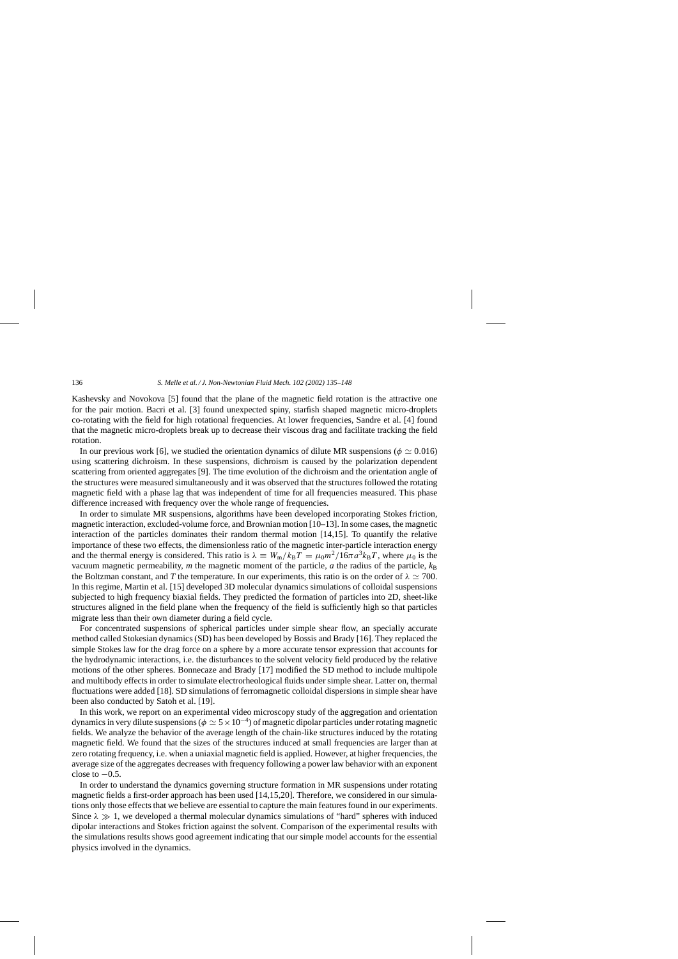Kashevsky and Novokova [5] found that the plane of the magnetic field rotation is the attractive one for the pair motion. Bacri et al. [3] found unexpected spiny, starfish shaped magnetic micro-droplets co-rotating with the field for high rotational frequencies. At lower frequencies, Sandre et al. [4] found that the magnetic micro-droplets break up to decrease their viscous drag and facilitate tracking the field rotation.

In our previous work [6], we studied the orientation dynamics of dilute MR suspensions ( $\phi \simeq 0.016$ ) using scattering dichroism. In these suspensions, dichroism is caused by the polarization dependent scattering from oriented aggregates [9]. The time evolution of the dichroism and the orientation angle of the structures were measured simultaneously and it was observed that the structures followed the rotating magnetic field with a phase lag that was independent of time for all frequencies measured. This phase difference increased with frequency over the whole range of frequencies.

In order to simulate MR suspensions, algorithms have been developed incorporating Stokes friction, magnetic interaction, excluded-volume force, and Brownian motion [10–13]. In some cases, the magnetic interaction of the particles dominates their random thermal motion [14,15]. To quantify the relative importance of these two effects, the dimensionless ratio of the magnetic inter-particle interaction energy and the thermal energy is considered. This ratio is  $\lambda = W_m/k_B T = \mu_0 m^2/16\pi a^3 k_B T$ , where  $\mu_0$  is the vacuum magnetic permeability, *m* the magnetic moment of the particle, *a* the radius of the particle,  $k_B$ the Boltzman constant, and *T* the temperature. In our experiments, this ratio is on the order of  $\lambda \simeq 700$ . In this regime, Martin et al. [15] developed 3D molecular dynamics simulations of colloidal suspensions subjected to high frequency biaxial fields. They predicted the formation of particles into 2D, sheet-like structures aligned in the field plane when the frequency of the field is sufficiently high so that particles migrate less than their own diameter during a field cycle.

For concentrated suspensions of spherical particles under simple shear flow, an specially accurate method called Stokesian dynamics (SD) has been developed by Bossis and Brady [16]. They replaced the simple Stokes law for the drag force on a sphere by a more accurate tensor expression that accounts for the hydrodynamic interactions, i.e. the disturbances to the solvent velocity field produced by the relative motions of the other spheres. Bonnecaze and Brady [17] modified the SD method to include multipole and multibody effects in order to simulate electrorheological fluids under simple shear. Latter on, thermal fluctuations were added [18]. SD simulations of ferromagnetic colloidal dispersions in simple shear have been also conducted by Satoh et al. [19].

In this work, we report on an experimental video microscopy study of the aggregation and orientation dynamics in very dilute suspensions ( $\phi \simeq 5 \times 10^{-4}$ ) of magnetic dipolar particles under rotating magnetic fields. We analyze the behavior of the average length of the chain-like structures induced by the rotating magnetic field. We found that the sizes of the structures induced at small frequencies are larger than at zero rotating frequency, i.e. when a uniaxial magnetic field is applied. However, at higher frequencies, the average size of the aggregates decreases with frequency following a power law behavior with an exponent close to  $-0.5$ .

In order to understand the dynamics governing structure formation in MR suspensions under rotating magnetic fields a first-order approach has been used [14,15,20]. Therefore, we considered in our simulations only those effects that we believe are essential to capture the main features found in our experiments. Since  $\lambda \gg 1$ , we developed a thermal molecular dynamics simulations of "hard" spheres with induced dipolar interactions and Stokes friction against the solvent. Comparison of the experimental results with the simulations results shows good agreement indicating that our simple model accounts for the essential physics involved in the dynamics.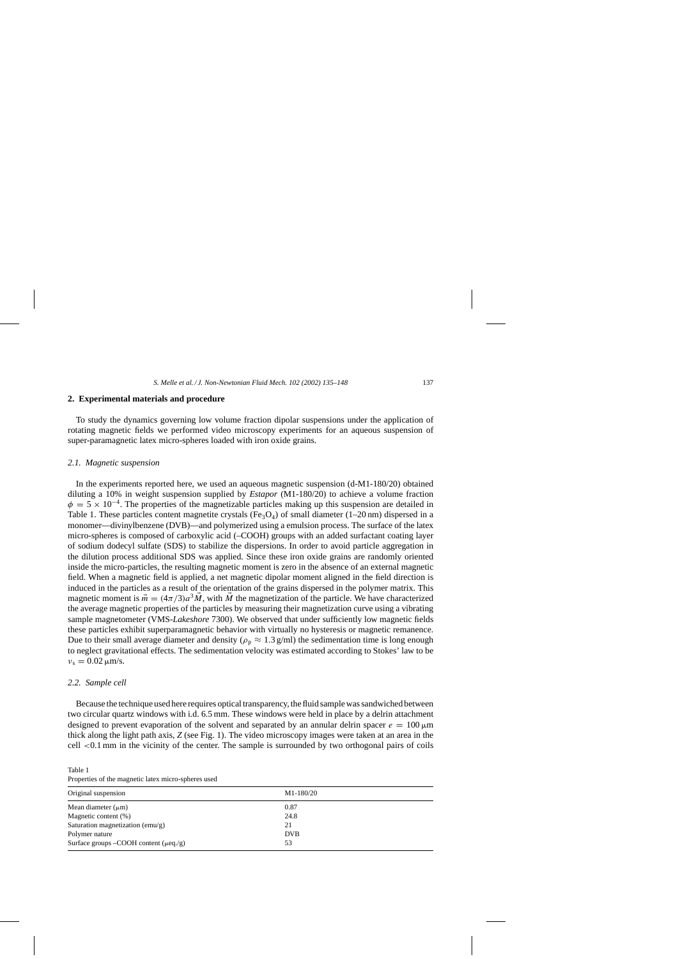# **2. Experimental materials and procedure**

To study the dynamics governing low volume fraction dipolar suspensions under the application of rotating magnetic fields we performed video microscopy experiments for an aqueous suspension of super-paramagnetic latex micro-spheres loaded with iron oxide grains.

## *2.1. Magnetic suspension*

In the experiments reported here, we used an aqueous magnetic suspension (d-M1-180/20) obtained diluting a 10% in weight suspension supplied by *Estapor* (M1-180/20) to achieve a volume fraction  $\phi = 5 \times 10^{-4}$ . The properties of the magnetizable particles making up this suspension are detailed in Table 1. These particles content magnetite crystals (Fe<sub>3</sub>O<sub>4</sub>) of small diameter (1–20 nm) dispersed in a monomer—divinylbenzene (DVB)—and polymerized using a emulsion process. The surface of the latex micro-spheres is composed of carboxylic acid (–COOH) groups with an added surfactant coating layer of sodium dodecyl sulfate (SDS) to stabilize the dispersions. In order to avoid particle aggregation in the dilution process additional SDS was applied. Since these iron oxide grains are randomly oriented inside the micro-particles, the resulting magnetic moment is zero in the absence of an external magnetic field. When a magnetic field is applied, a net magnetic dipolar moment aligned in the field direction is induced in the particles as a result of the orientation of the grains dispersed in the polymer matrix. This magnetic moment is  $\vec{m} = (4\pi/3)a^3\vec{M}$ , with  $\vec{M}$  the magnetization of the particle. We have characterized the average magnetic properties of the particles by measuring their magnetization curve using a vibrating sample magnetometer (VMS-*Lakeshore* 7300). We observed that under sufficiently low magnetic fields these particles exhibit superparamagnetic behavior with virtually no hysteresis or magnetic remanence. Due to their small average diameter and density ( $\rho_p \approx 1.3$  g/ml) the sedimentation time is long enough to neglect gravitational effects. The sedimentation velocity was estimated according to Stokes' law to be  $v_s = 0.02 \,\mathrm{\mu m/s}.$ 

# *2.2. Sample cell*

Because the technique used here requires optical transparency, the fluid sample was sandwiched between two circular quartz windows with i.d. 6.5 mm. These windows were held in place by a delrin attachment designed to prevent evaporation of the solvent and separated by an annular delrin spacer  $e = 100 \,\mu m$ thick along the light path axis, *Z* (see Fig. 1). The video microscopy images were taken at an area in the cell <0.1 mm in the vicinity of the center. The sample is surrounded by two orthogonal pairs of coils

Table 1 Properties of the magnetic latex micro-spheres used

| Original suspension                           | M1-180/20  |
|-----------------------------------------------|------------|
| Mean diameter $(\mu m)$                       | 0.87       |
| Magnetic content (%)                          | 24.8       |
| Saturation magnetization (emu/g)              | 21         |
| Polymer nature                                | <b>DVB</b> |
| Surface groups $-COOH$ content ( $\mu$ eq./g) | 53         |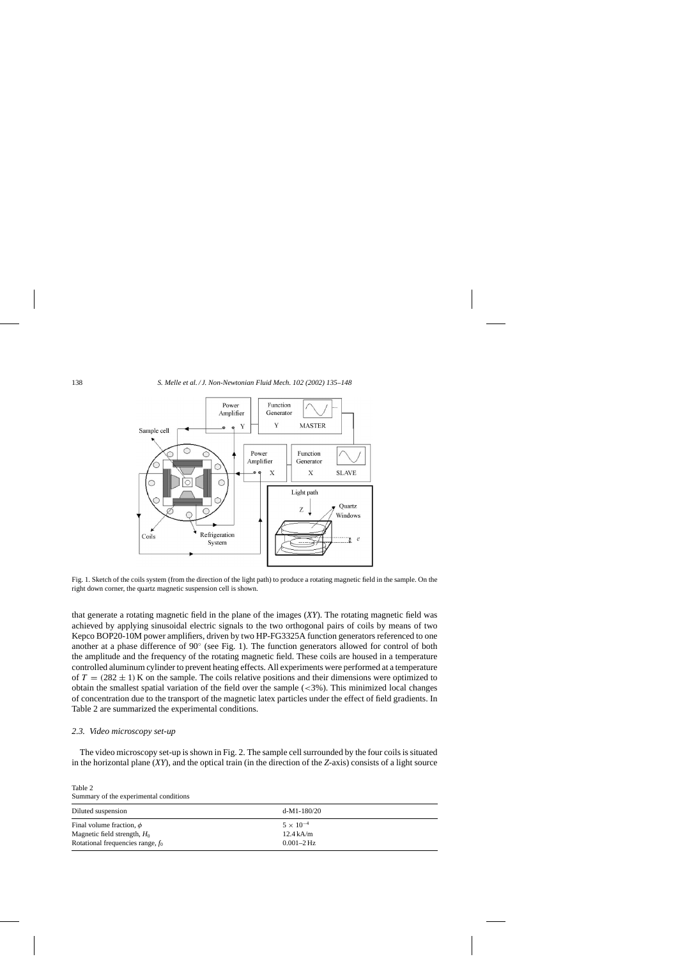

Fig. 1. Sketch of the coils system (from the direction of the light path) to produce a rotating magnetic field in the sample. On the right down corner, the quartz magnetic suspension cell is shown.

that generate a rotating magnetic field in the plane of the images (*XY*). The rotating magnetic field was achieved by applying sinusoidal electric signals to the two orthogonal pairs of coils by means of two Kepco BOP20-10M power amplifiers, driven by two HP-FG3325A function generators referenced to one another at a phase difference of 90◦ (see Fig. 1). The function generators allowed for control of both the amplitude and the frequency of the rotating magnetic field. These coils are housed in a temperature controlled aluminum cylinder to prevent heating effects. All experiments were performed at a temperature of  $T = (282 \pm 1)$  K on the sample. The coils relative positions and their dimensions were optimized to obtain the smallest spatial variation of the field over the sample (<3%). This minimized local changes of concentration due to the transport of the magnetic latex particles under the effect of field gradients. In Table 2 are summarized the experimental conditions.

## *2.3. Video microscopy set-up*

The video microscopy set-up is shown in Fig. 2. The sample cell surrounded by the four coils is situated in the horizontal plane (*XY*), and the optical train (in the direction of the *Z*-axis) consists of a light source

Table 2 Summary of the experimental conditions

| Diluted suspension                                              | $d-M1-180/20$                             |  |
|-----------------------------------------------------------------|-------------------------------------------|--|
| Final volume fraction, $\phi$<br>Magnetic field strength, $H_0$ | $5 \times 10^{-4}$<br>$12.4 \text{ kA/m}$ |  |
| Rotational frequencies range, $f_0$                             | $0.001 - 2 \text{ Hz}$                    |  |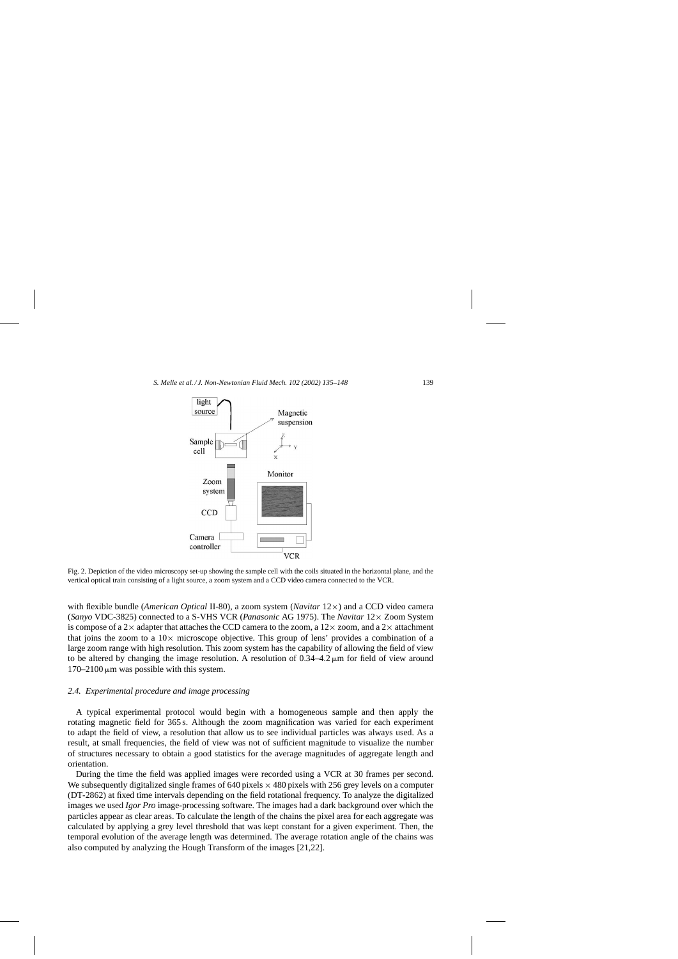

Fig. 2. Depiction of the video microscopy set-up showing the sample cell with the coils situated in the horizontal plane, and the vertical optical train consisting of a light source, a zoom system and a CCD video camera connected to the VCR.

with flexible bundle (*American Optical* II-80), a zoom system (*Navitar* 12×) and a CCD video camera (*Sanyo* VDC-3825) connected to a S-VHS VCR (*Panasonic* AG 1975). The *Navitar* 12× Zoom System is compose of a 2 $\times$  adapter that attaches the CCD camera to the zoom, a 12 $\times$  zoom, and a 2 $\times$  attachment that joins the zoom to a  $10\times$  microscope objective. This group of lens' provides a combination of a large zoom range with high resolution. This zoom system has the capability of allowing the field of view to be altered by changing the image resolution. A resolution of  $0.34-4.2 \mu m$  for field of view around  $170-2100 \mu m$  was possible with this system.

# *2.4. Experimental procedure and image processing*

A typical experimental protocol would begin with a homogeneous sample and then apply the rotating magnetic field for 365 s. Although the zoom magnification was varied for each experiment to adapt the field of view, a resolution that allow us to see individual particles was always used. As a result, at small frequencies, the field of view was not of sufficient magnitude to visualize the number of structures necessary to obtain a good statistics for the average magnitudes of aggregate length and orientation.

During the time the field was applied images were recorded using a VCR at 30 frames per second. We subsequently digitalized single frames of  $640$  pixels  $\times$  480 pixels with 256 grey levels on a computer (DT-2862) at fixed time intervals depending on the field rotational frequency. To analyze the digitalized images we used *Igor Pro* image-processing software. The images had a dark background over which the particles appear as clear areas. To calculate the length of the chains the pixel area for each aggregate was calculated by applying a grey level threshold that was kept constant for a given experiment. Then, the temporal evolution of the average length was determined. The average rotation angle of the chains was also computed by analyzing the Hough Transform of the images [21,22].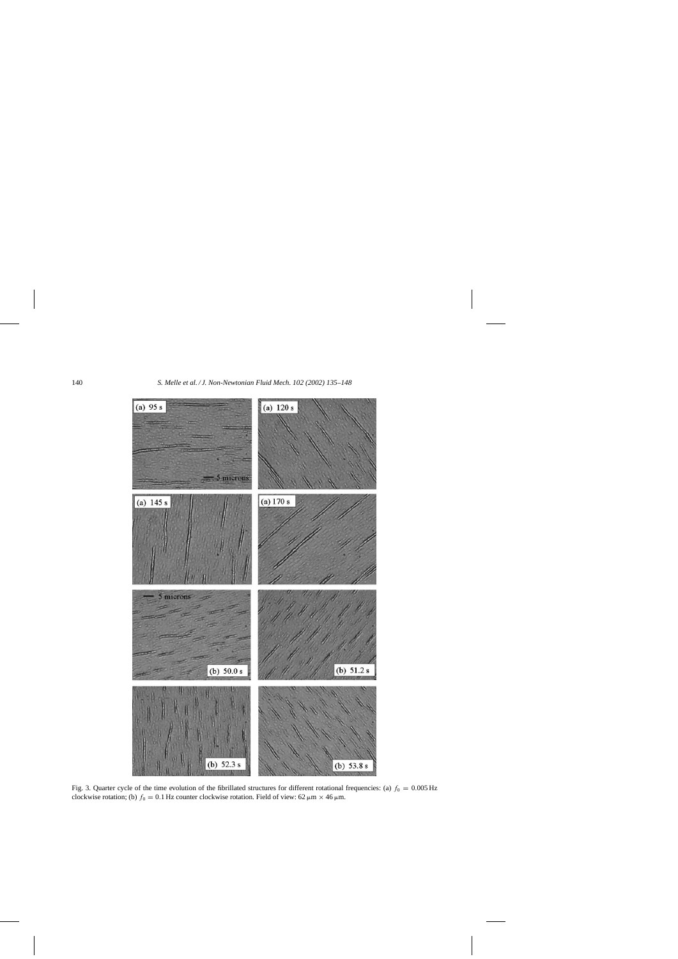

Fig. 3. Quarter cycle of the time evolution of the fibrillated structures for different rotational frequencies: (a)  $f_0 = 0.005$  Hz clockwise rotation; (b)  $f_0 = 0.1$  Hz counter clockwise rotation. Field of view: 62  $\mu$ m × 46  $\mu$ m.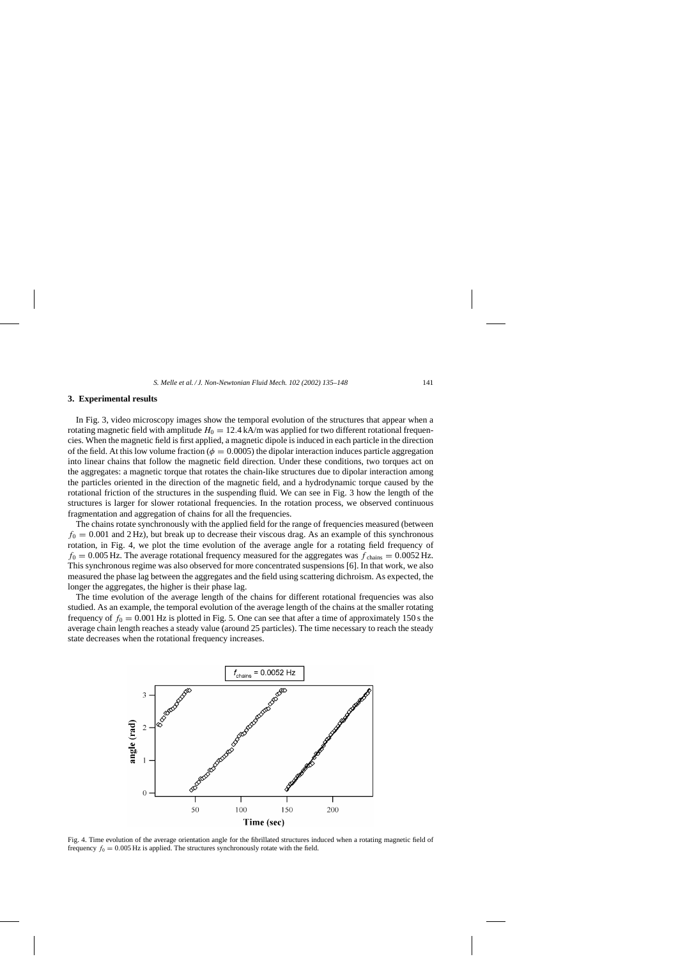## **3. Experimental results**

In Fig. 3, video microscopy images show the temporal evolution of the structures that appear when a rotating magnetic field with amplitude  $H_0 = 12.4 \text{ kA/m}$  was applied for two different rotational frequencies. When the magnetic field is first applied, a magnetic dipole is induced in each particle in the direction of the field. At this low volume fraction ( $\phi = 0.0005$ ) the dipolar interaction induces particle aggregation into linear chains that follow the magnetic field direction. Under these conditions, two torques act on the aggregates: a magnetic torque that rotates the chain-like structures due to dipolar interaction among the particles oriented in the direction of the magnetic field, and a hydrodynamic torque caused by the rotational friction of the structures in the suspending fluid. We can see in Fig. 3 how the length of the structures is larger for slower rotational frequencies. In the rotation process, we observed continuous fragmentation and aggregation of chains for all the frequencies.

The chains rotate synchronously with the applied field for the range of frequencies measured (between  $f_0 = 0.001$  and 2 Hz), but break up to decrease their viscous drag. As an example of this synchronous rotation, in Fig. 4, we plot the time evolution of the average angle for a rotating field frequency of  $f_0 = 0.005$  Hz. The average rotational frequency measured for the aggregates was  $f_{\text{chains}} = 0.0052$  Hz. This synchronous regime was also observed for more concentrated suspensions [6]. In that work, we also measured the phase lag between the aggregates and the field using scattering dichroism. As expected, the longer the aggregates, the higher is their phase lag.

The time evolution of the average length of the chains for different rotational frequencies was also studied. As an example, the temporal evolution of the average length of the chains at the smaller rotating frequency of  $f_0 = 0.001$  Hz is plotted in Fig. 5. One can see that after a time of approximately 150 s the average chain length reaches a steady value (around 25 particles). The time necessary to reach the steady state decreases when the rotational frequency increases.



Fig. 4. Time evolution of the average orientation angle for the fibrillated structures induced when a rotating magnetic field of frequency  $f_0 = 0.005$  Hz is applied. The structures synchronously rotate with the field.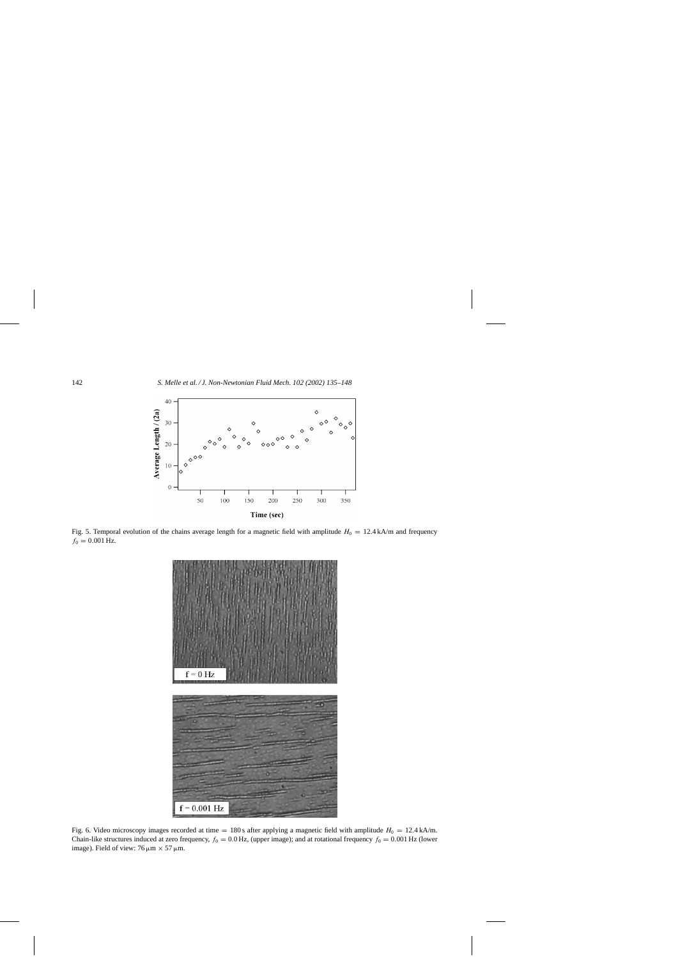

Fig. 5. Temporal evolution of the chains average length for a magnetic field with amplitude  $H_0 = 12.4$  kA/m and frequency  $f_0 = 0.001$  Hz.



Fig. 6. Video microscopy images recorded at time = 180 s after applying a magnetic field with amplitude  $H_0 = 12.4$  kA/m. Chain-like structures induced at zero frequency,  $f_0 = 0.0$  Hz, (upper image); and at rotational frequency  $f_0 = 0.001$  Hz (lower image). Field of view:  $76 \,\mu m \times 57 \,\mu m$ .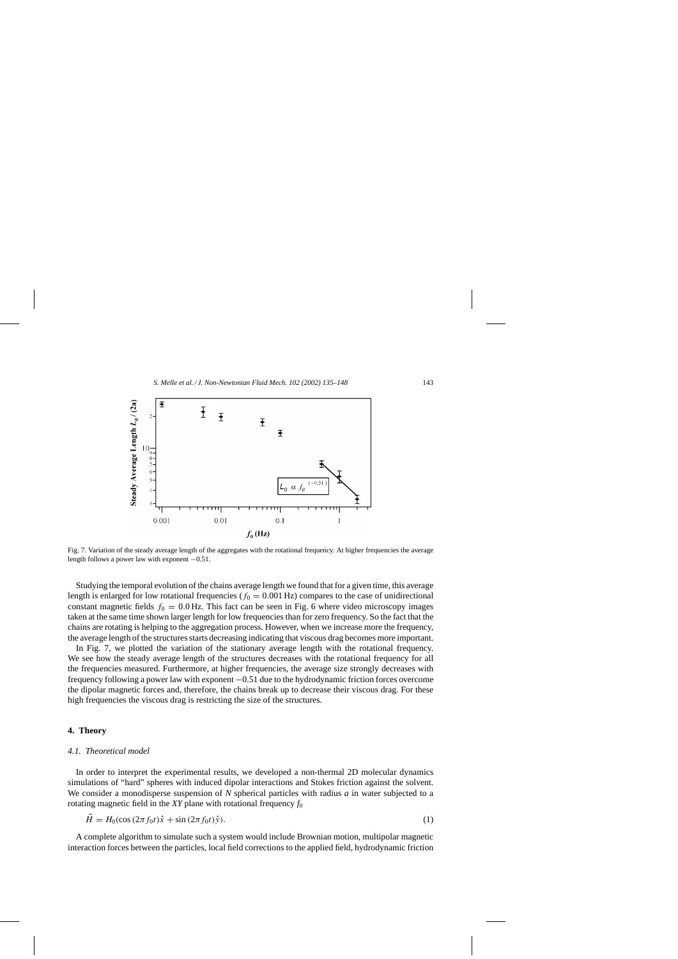

Fig. 7. Variation of the steady average length of the aggregates with the rotational frequency. At higher frequencies the average length follows a power law with exponent −0.51.

Studying the temporal evolution of the chains average length we found that for a given time, this average length is enlarged for low rotational frequencies ( $f_0 = 0.001$  Hz) compares to the case of unidirectional constant magnetic fields  $f_0 = 0.0$  Hz. This fact can be seen in Fig. 6 where video microscopy images taken at the same time shown larger length for low frequencies than for zero frequency. So the fact that the chains are rotating is helping to the aggregation process. However, when we increase more the frequency, the average length of the structures starts decreasing indicating that viscous drag becomes more important.

In Fig. 7, we plotted the variation of the stationary average length with the rotational frequency. We see how the steady average length of the structures decreases with the rotational frequency for all the frequencies measured. Furthermore, at higher frequencies, the average size strongly decreases with frequency following a power law with exponent −0.51 due to the hydrodynamic friction forces overcome the dipolar magnetic forces and, therefore, the chains break up to decrease their viscous drag. For these high frequencies the viscous drag is restricting the size of the structures.

## **4. Theory**

## *4.1. Theoretical model*

In order to interpret the experimental results, we developed a non-thermal 2D molecular dynamics simulations of "hard" spheres with induced dipolar interactions and Stokes friction against the solvent. We consider a monodisperse suspension of *N* spherical particles with radius *a* in water subjected to a rotating magnetic field in the *XY* plane with rotational frequency *f*<sup>0</sup>

$$
\vec{H} = H_0(\cos(2\pi f_0 t)\hat{x} + \sin(2\pi f_0 t)\hat{y}).
$$
\n(1)

A complete algorithm to simulate such a system would include Brownian motion, multipolar magnetic interaction forces between the particles, local field corrections to the applied field, hydrodynamic friction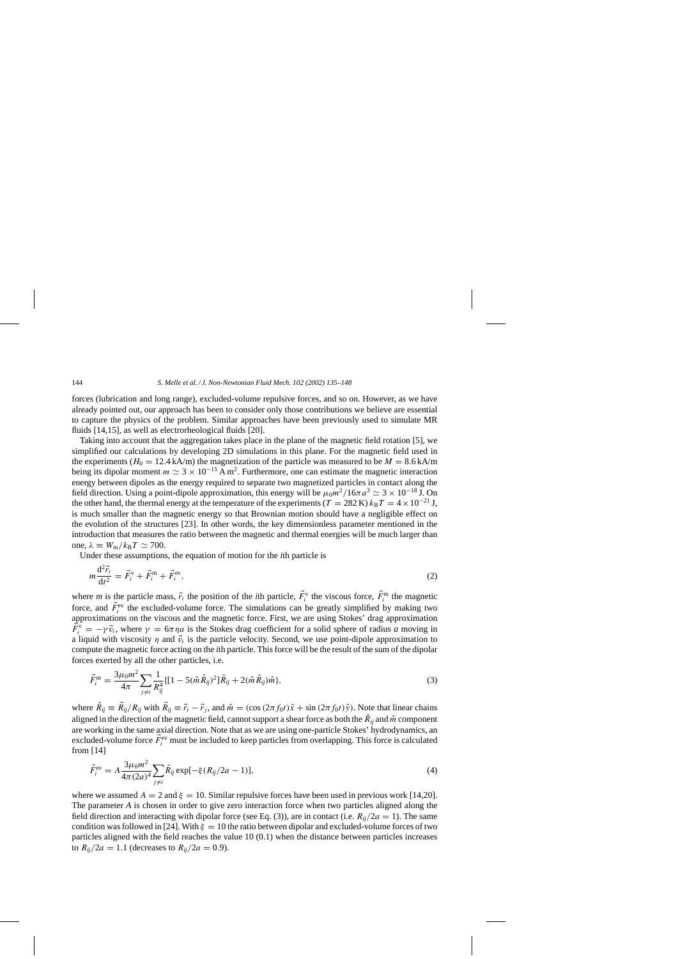forces (lubrication and long range), excluded-volume repulsive forces, and so on. However, as we have already pointed out, our approach has been to consider only those contributions we believe are essential to capture the physics of the problem. Similar approaches have been previously used to simulate MR fluids [14,15], as well as electrorheological fluids [20].

Taking into account that the aggregation takes place in the plane of the magnetic field rotation [5], we simplified our calculations by developing 2D simulations in this plane. For the magnetic field used in the experiments ( $H_0 = 12.4$  kA/m) the magnetization of the particle was measured to be  $M = 8.6$  kA/m being its dipolar moment  $m \simeq 3 \times 10^{-15}$  A m<sup>2</sup>. Furthermore, one can estimate the magnetic interaction energy between dipoles as the energy required to separate two magnetized particles in contact along the field direction. Using a point-dipole approximation, this energy will be  $\mu_0 m^2/16\pi a^3 \simeq 3 \times 10^{-18}$  J. On the other hand, the thermal energy at the temperature of the experiments (T = 282 K)  $k_BT = 4 \times 10^{-21}$  J, is much smaller than the magnetic energy so that Brownian motion should have a negligible effect on the evolution of the structures [23]. In other words, the key dimensionless parameter mentioned in the introduction that measures the ratio between the magnetic and thermal energies will be much larger than one,  $\lambda \equiv W_{\rm m}/k_{\rm B}T \simeq 700$ .

Under these assumptions, the equation of motion for the *i*th particle is

$$
m\frac{d^2\vec{r}_i}{dt^2} = \vec{F}_i^{\,v} + \vec{F}_i^{\,m} + \vec{F}_i^{\,ev},\tag{2}
$$

where *m* is the particle mass,  $\vec{r}_i$  the position of the *i*th particle,  $\vec{F}_i^v$  the viscous force,  $\vec{F}_i^m$  the magnetic force, and  $\vec{F}_i^{\text{ev}}$  the excluded-volume force. The simulations can be greatly simplified by making two approximations on the viscous and the magnetic force. First, we are using Stokes' drag approximation  $\vec{F}_i^{\hat{v}} = -\gamma \vec{v}_i$ , where  $\gamma = 6\pi \eta a$  is the Stokes drag coefficient for a solid sphere of radius *a* moving in a liquid with viscosity  $\eta$  and  $\vec{v}_i$  is the particle velocity. Second, we use point-dipole approximation to compute the magnetic force acting on the *i*th particle. This force will be the result of the sum of the dipolar forces exerted by all the other particles, i.e.

$$
\vec{F}_{i}^{\text{m}} = \frac{3\mu_{0}m^{2}}{4\pi} \sum_{j \neq i} \frac{1}{R_{ij}^{4}} \{ [1 - 5(\hat{m}\hat{R}_{ij})^{2}] \hat{R}_{ij} + 2(\hat{m}\hat{R}_{ij})\hat{m} \},\tag{3}
$$

where  $\hat{R}_{ij} \equiv \vec{R}_{ij}/R_{ij}$  with  $\vec{R}_{ij} \equiv \vec{r}_i - \vec{r}_j$ , and  $\hat{m} = (\cos(2\pi f_0 t)\hat{x} + \sin(2\pi f_0 t)\hat{y})$ . Note that linear chains aligned in the direction of the magnetic field, cannot support a shear force as both the  $\hat{R}_{ij}$  and  $\hat{m}$  component are working in the same axial direction. Note that as we are using one-particle Stokes' hydrodynamics, an excluded-volume force  $\vec{F}_i^{\text{ev}}$  must be included to keep particles from overlapping. This force is calculated from [14]

$$
\vec{F}_i^{\text{ev}} = A \frac{3\mu_0 m^2}{4\pi (2a)^4} \sum_{j \neq i} \hat{R}_{ij} \exp[-\xi (R_{ij}/2a - 1)], \tag{4}
$$

where we assumed  $A = 2$  and  $\xi = 10$ . Similar repulsive forces have been used in previous work [14,20]. The parameter *A* is chosen in order to give zero interaction force when two particles aligned along the field direction and interacting with dipolar force (see Eq. (3)), are in contact (i.e.  $R_{ii}/2a = 1$ ). The same condition was followed in [24]. With  $\xi = 10$  the ratio between dipolar and excluded-volume forces of two particles aligned with the field reaches the value 10 (0.1) when the distance between particles increases to  $R_{ij}/2a = 1.1$  (decreases to  $R_{ij}/2a = 0.9$ ).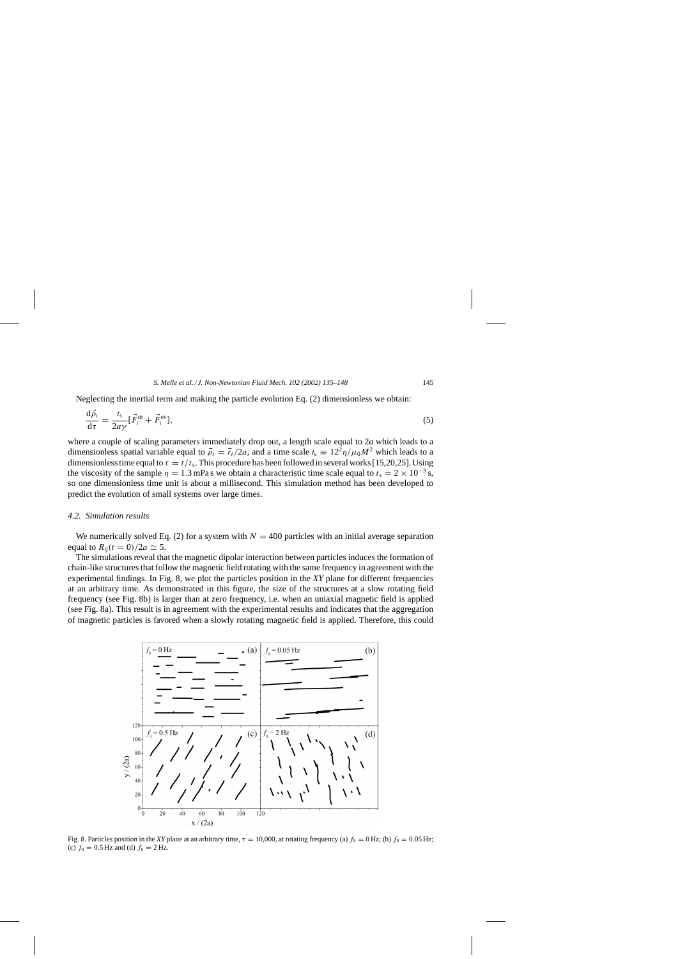Neglecting the inertial term and making the particle evolution Eq. (2) dimensionless we obtain:

$$
\frac{\mathrm{d}\vec{\rho}_i}{\mathrm{d}\tau} = \frac{t_\mathrm{s}}{2a\gamma} [\vec{F}_i^{\mathrm{m}} + \vec{F}_i^{\mathrm{ev}}],\tag{5}
$$

where a couple of scaling parameters immediately drop out, a length scale equal to 2*a* which leads to a dimensionless spatial variable equal to  $\vec{\rho}_i = \vec{r}_i/2a$ , and a time scale  $t_s \equiv 12^2 \eta / \mu_0 M^2$  which leads to a dimensionless time equal to  $\tau = t/t_s$ . This procedure has been followed in several works [15,20,25]. Using the viscosity of the sample  $\eta = 1.3$  mPa s we obtain a characteristic time scale equal to  $t_s = 2 \times 10^{-3}$  s, so one dimensionless time unit is about a millisecond. This simulation method has been developed to predict the evolution of small systems over large times.

## *4.2. Simulation results*

We numerically solved Eq. (2) for a system with  $N = 400$  particles with an initial average separation equal to  $R_{ii}(t = 0)/2a \simeq 5$ .

The simulations reveal that the magnetic dipolar interaction between particles induces the formation of chain-like structures that follow the magnetic field rotating with the same frequency in agreement with the experimental findings. In Fig. 8, we plot the particles position in the *XY* plane for different frequencies at an arbitrary time. As demonstrated in this figure, the size of the structures at a slow rotating field frequency (see Fig. 8b) is larger than at zero frequency, i.e. when an uniaxial magnetic field is applied (see Fig. 8a). This result is in agreement with the experimental results and indicates that the aggregation of magnetic particles is favored when a slowly rotating magnetic field is applied. Therefore, this could



Fig. 8. Particles position in the *XY* plane at an arbitrary time,  $\tau = 10,000$ , at rotating frequency (a)  $f_0 = 0$  Hz; (b)  $f_0 = 0.05$  Hz; (c)  $f_0 = 0.5$  Hz and (d)  $f_0 = 2$  Hz.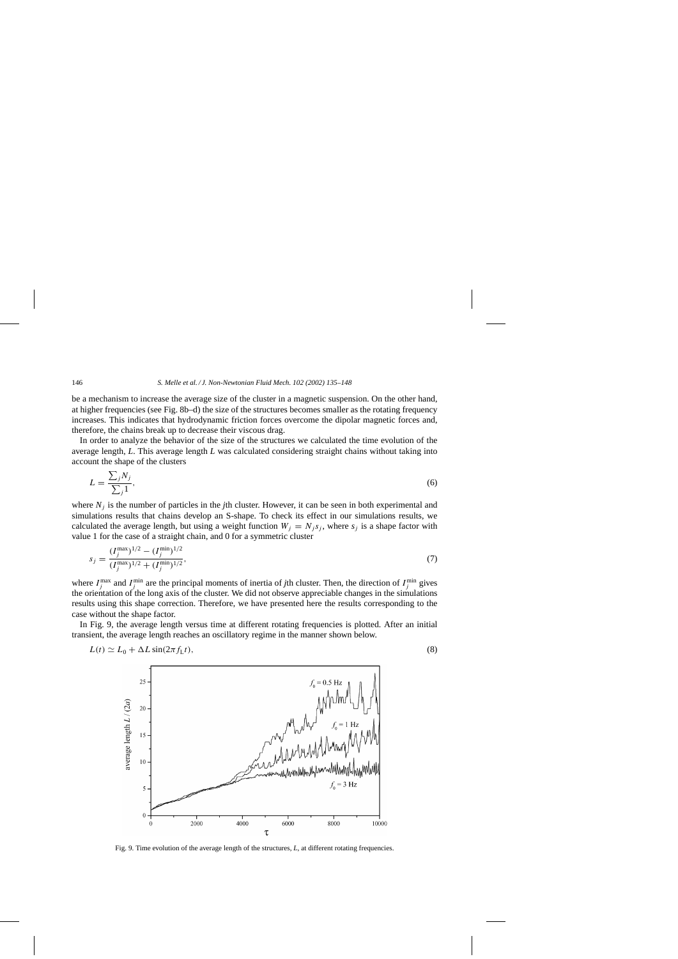be a mechanism to increase the average size of the cluster in a magnetic suspension. On the other hand, at higher frequencies (see Fig. 8b–d) the size of the structures becomes smaller as the rotating frequency increases. This indicates that hydrodynamic friction forces overcome the dipolar magnetic forces and, therefore, the chains break up to decrease their viscous drag.

In order to analyze the behavior of the size of the structures we calculated the time evolution of the average length, *L*. This average length *L* was calculated considering straight chains without taking into account the shape of the clusters

$$
L = \frac{\sum_{j} N_{j}}{\sum_{j} 1},\tag{6}
$$

where  $N_i$  is the number of particles in the *j*th cluster. However, it can be seen in both experimental and simulations results that chains develop an S-shape. To check its effect in our simulations results, we calculated the average length, but using a weight function  $W_j = N_j s_j$ , where  $s_j$  is a shape factor with value 1 for the case of a straight chain, and 0 for a symmetric cluster

$$
s_j = \frac{(I_j^{\max})^{1/2} - (I_j^{\min})^{1/2}}{(I_j^{\max})^{1/2} + (I_j^{\min})^{1/2}},\tag{7}
$$

where  $I_j^{\text{max}}$  and  $I_j^{\text{min}}$  are the principal moments of inertia of *j*th cluster. Then, the direction of  $I_j^{\text{min}}$  gives the orientation of the long axis of the cluster. We did not observe appreciable changes in the simulations results using this shape correction. Therefore, we have presented here the results corresponding to the case without the shape factor.

In Fig. 9, the average length versus time at different rotating frequencies is plotted. After an initial transient, the average length reaches an oscillatory regime in the manner shown below.

$$
L(t) \simeq L_0 + \Delta L \sin(2\pi f_{\rm L} t),\tag{8}
$$



Fig. 9. Time evolution of the average length of the structures, *L*, at different rotating frequencies.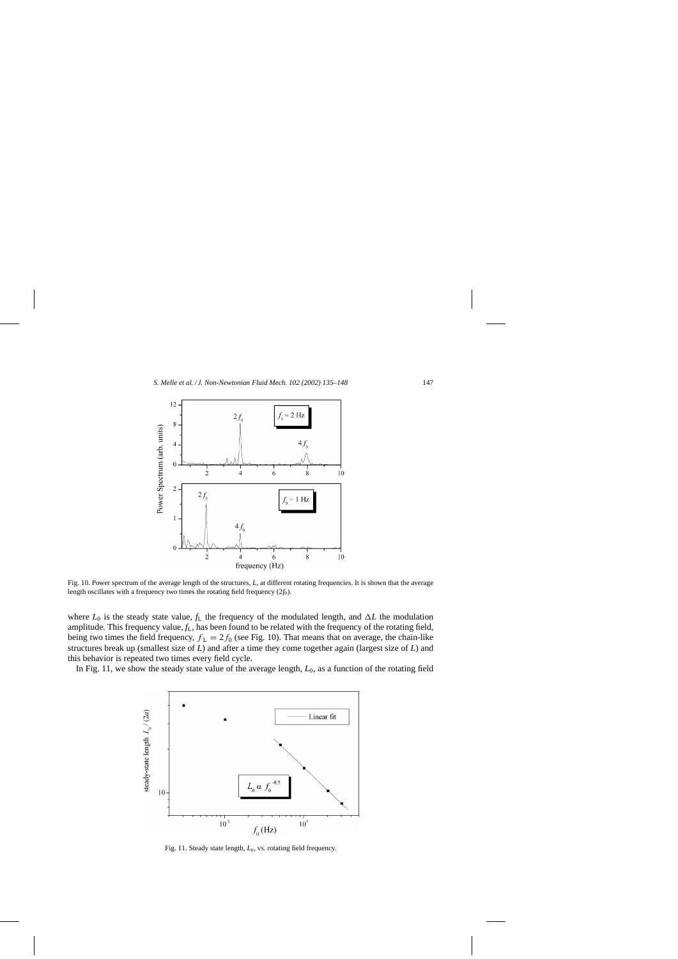

Fig. 10. Power spectrum of the average length of the structures, *L*, at different rotating frequencies. It is shown that the average length oscillates with a frequency two times the rotating field frequency (2*f*0).

where  $L_0$  is the steady state value,  $f_L$  the frequency of the modulated length, and  $\Delta L$  the modulation amplitude. This frequency value, *f*L, has been found to be related with the frequency of the rotating field, being two times the field frequency,  $f_L = 2f_0$  (see Fig. 10). That means that on average, the chain-like structures break up (smallest size of *L*) and after a time they come together again (largest size of *L*) and this behavior is repeated two times every field cycle.

In Fig. 11, we show the steady state value of the average length,  $L_0$ , as a function of the rotating field



Fig. 11. Steady state length,  $L_0$ , vs. rotating field frequency.